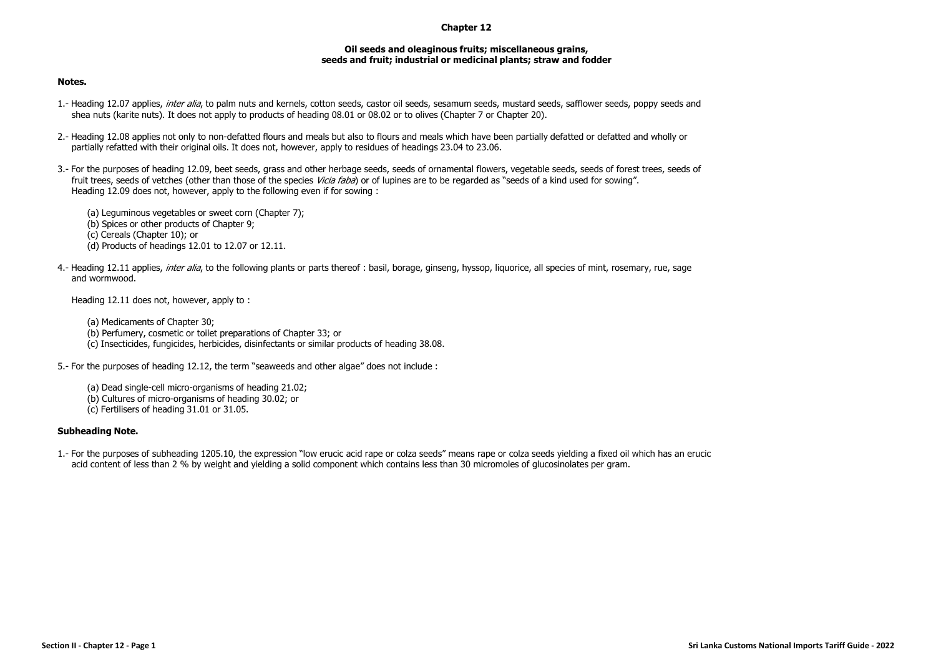## **Chapter 12**

## **Oil seeds and oleaginous fruits; miscellaneous grains, seeds and fruit; industrial or medicinal plants; straw and fodder**

## **Notes.**

- 1.- Heading 12.07 applies, inter alia, to palm nuts and kernels, cotton seeds, castor oil seeds, sesamum seeds, mustard seeds, safflower seeds, poppy seeds and shea nuts (karite nuts). It does not apply to products of heading 08.01 or 08.02 or to olives (Chapter 7 or Chapter 20).
- 2.- Heading 12.08 applies not only to non-defatted flours and meals but also to flours and meals which have been partially defatted or defatted and wholly or partially refatted with their original oils. It does not, however, apply to residues of headings 23.04 to 23.06.
- 3.- For the purposes of heading 12.09, beet seeds, grass and other herbage seeds, seeds of ornamental flowers, vegetable seeds, seeds of forest trees, seeds of fruit trees, seeds of vetches (other than those of the species *Vicia faba*) or of lupines are to be regarded as "seeds of a kind used for sowing". Heading 12.09 does not, however, apply to the following even if for sowing :

(a) Leguminous vegetables or sweet corn (Chapter 7); (b) Spices or other products of Chapter 9; (c) Cereals (Chapter 10); or (d) Products of headings 12.01 to 12.07 or 12.11.

4.- Heading 12.11 applies, *inter alia*, to the following plants or parts thereof : basil, borage, ginseng, hyssop, liquorice, all species of mint, rosemary, rue, sage and wormwood.

Heading 12.11 does not, however, apply to :

(a) Medicaments of Chapter 30; (b) Perfumery, cosmetic or toilet preparations of Chapter 33; or (c) Insecticides, fungicides, herbicides, disinfectants or similar products of heading 38.08.

5.- For the purposes of heading 12.12, the term "seaweeds and other algae" does not include :

(a) Dead single-cell micro-organisms of heading 21.02; (b) Cultures of micro-organisms of heading 30.02; or (c) Fertilisers of heading 31.01 or 31.05.

## **Subheading Note.**

1.- For the purposes of subheading 1205.10, the expression "low erucic acid rape or colza seeds" means rape or colza seeds yielding a fixed oil which has an erucic acid content of less than 2 % by weight and yielding a solid component which contains less than 30 micromoles of glucosinolates per gram.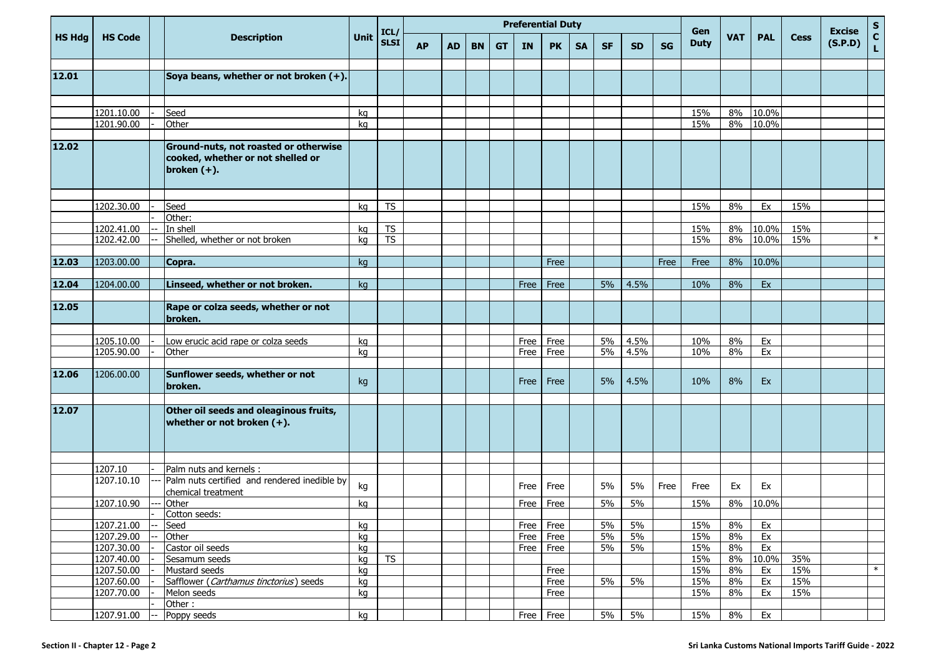|               |                          |   |                                                                                              |          | ICL/        |           | <b>Preferential Duty</b><br>Gen |           |           |           |           |           |           |           |           |             |            |             | <b>Excise</b> | ${\sf s}$ |                |
|---------------|--------------------------|---|----------------------------------------------------------------------------------------------|----------|-------------|-----------|---------------------------------|-----------|-----------|-----------|-----------|-----------|-----------|-----------|-----------|-------------|------------|-------------|---------------|-----------|----------------|
| <b>HS Hdg</b> | <b>HS Code</b>           |   | <b>Description</b>                                                                           | Unit     | <b>SLSI</b> | <b>AP</b> | <b>AD</b>                       | <b>BN</b> | <b>GT</b> | <b>IN</b> | <b>PK</b> | <b>SA</b> | <b>SF</b> | <b>SD</b> | <b>SG</b> | <b>Duty</b> | <b>VAT</b> | <b>PAL</b>  | <b>Cess</b>   | (S.P.D)   | $\overline{c}$ |
|               |                          |   |                                                                                              |          |             |           |                                 |           |           |           |           |           |           |           |           |             |            |             |               |           |                |
| 12.01         |                          |   | Soya beans, whether or not broken (+).                                                       |          |             |           |                                 |           |           |           |           |           |           |           |           |             |            |             |               |           |                |
|               |                          |   |                                                                                              |          |             |           |                                 |           |           |           |           |           |           |           |           |             |            |             |               |           |                |
|               | 1201.10.00               |   | Seed                                                                                         | kq       |             |           |                                 |           |           |           |           |           |           |           |           | 15%         | 8%         | 10.0%       |               |           |                |
|               | 1201.90.00               |   | Other                                                                                        | kg       |             |           |                                 |           |           |           |           |           |           |           |           | 15%         | 8%         | 10.0%       |               |           |                |
| 12.02         |                          |   | Ground-nuts, not roasted or otherwise<br>cooked, whether or not shelled or<br>broken $(+)$ . |          |             |           |                                 |           |           |           |           |           |           |           |           |             |            |             |               |           |                |
|               |                          |   |                                                                                              |          |             |           |                                 |           |           |           |           |           |           |           |           |             |            |             |               |           |                |
|               | 1202.30.00               |   | Seed                                                                                         | kg       | <b>TS</b>   |           |                                 |           |           |           |           |           |           |           |           | 15%         | 8%         | Ex          | 15%           |           |                |
|               | 1202.41.00               |   | Other:<br>In shell                                                                           | kg       | <b>TS</b>   |           |                                 |           |           |           |           |           |           |           |           | 15%         | 8%         | 10.0%       | 15%           |           |                |
|               | 1202.42.00               |   | Shelled, whether or not broken                                                               | kg       | <b>TS</b>   |           |                                 |           |           |           |           |           |           |           |           | 15%         | 8%         | 10.0%       | 15%           |           | $\ast$         |
|               |                          |   |                                                                                              |          |             |           |                                 |           |           |           |           |           |           |           |           |             |            |             |               |           |                |
| 12.03         | 1203.00.00               |   | Copra.                                                                                       | kq       |             |           |                                 |           |           |           | Free      |           |           |           | Free      | Free        | 8%         | 10.0%       |               |           |                |
|               |                          |   |                                                                                              |          |             |           |                                 |           |           |           |           |           |           |           |           |             |            |             |               |           |                |
| 12.04         | 1204.00.00               |   | Linseed, whether or not broken.                                                              | kg       |             |           |                                 |           |           | Free      | Free      |           | 5%        | 4.5%      |           | 10%         | 8%         | Ex          |               |           |                |
| 12.05         |                          |   | Rape or colza seeds, whether or not<br>broken.                                               |          |             |           |                                 |           |           |           |           |           |           |           |           |             |            |             |               |           |                |
|               | 1205.10.00               |   | Low erucic acid rape or colza seeds                                                          | kg       |             |           |                                 |           |           | Free      | Free      |           | 5%        | 4.5%      |           | 10%         | 8%         | Ex          |               |           |                |
|               | 1205.90.00               |   | Other                                                                                        | kg       |             |           |                                 |           |           | Free      | Free      |           | 5%        | 4.5%      |           | 10%         | 8%         | Ex          |               |           |                |
|               |                          |   |                                                                                              |          |             |           |                                 |           |           |           |           |           |           |           |           |             |            |             |               |           |                |
| 12.06         | 1206.00.00               |   | Sunflower seeds, whether or not<br>broken.                                                   | kg       |             |           |                                 |           |           | Free      | Free      |           | 5%        | 4.5%      |           | 10%         | 8%         | Ex          |               |           |                |
| 12.07         |                          |   | Other oil seeds and oleaginous fruits,<br>whether or not broken $(+)$ .                      |          |             |           |                                 |           |           |           |           |           |           |           |           |             |            |             |               |           |                |
|               |                          |   |                                                                                              |          |             |           |                                 |           |           |           |           |           |           |           |           |             |            |             |               |           |                |
|               | 1207.10                  |   | Palm nuts and kernels :                                                                      |          |             |           |                                 |           |           |           |           |           |           |           |           |             |            |             |               |           |                |
|               | 1207.10.10               |   | Palm nuts certified and rendered inedible by<br>chemical treatment                           | kg       |             |           |                                 |           |           | Free      | Free      |           | 5%        | 5%        | Free      | Free        | Ex         | Ex          |               |           |                |
|               | 1207.10.90               |   | Other                                                                                        | kq       |             |           |                                 |           |           | Free      | Free      |           | 5%        | 5%        |           | 15%         | 8%         | 10.0%       |               |           |                |
|               |                          |   | Cotton seeds:                                                                                |          |             |           |                                 |           |           |           |           |           |           |           |           |             |            |             |               |           |                |
|               | 1207.21.00               |   | Seed                                                                                         | kg       |             |           |                                 |           |           |           | Free Free |           | 5%        | 5%        |           | 15%         | 8%         | Ex          |               |           |                |
|               | 1207.29.00               |   | Other<br>Castor oil seeds                                                                    | kg       |             |           |                                 |           |           |           | Free Free |           | 5%        | 5%        |           | 15%         | 8%         | Ex          |               |           |                |
|               | 1207.30.00<br>1207.40.00 |   | Sesamum seeds                                                                                | kg       | <b>TS</b>   |           |                                 |           |           |           | Free Free |           | $5\%$     | 5%        |           | 15%<br>15%  | 8%<br>8%   | Ex<br>10.0% | 35%           |           |                |
|               | 1207.50.00               |   | Mustard seeds                                                                                | kg<br>kg |             |           |                                 |           |           |           | Free      |           |           |           |           | 15%         | 8%         | Ex          | 15%           |           | $\ast$         |
|               | 1207.60.00               |   | Safflower (Carthamus tinctorius) seeds                                                       | kg       |             |           |                                 |           |           |           | Free      |           | 5%        | 5%        |           | 15%         | 8%         | Ex          | 15%           |           |                |
|               | 1207.70.00               |   | Melon seeds                                                                                  | kg       |             |           |                                 |           |           |           | Free      |           |           |           |           | 15%         | 8%         | Ex          | 15%           |           |                |
|               |                          |   | Other:                                                                                       |          |             |           |                                 |           |           |           |           |           |           |           |           |             |            |             |               |           |                |
|               | 1207.91.00               | — | Poppy seeds                                                                                  | kg       |             |           |                                 |           |           |           | Free Free |           | 5%        | 5%        |           | 15%         | 8%         | Ex          |               |           |                |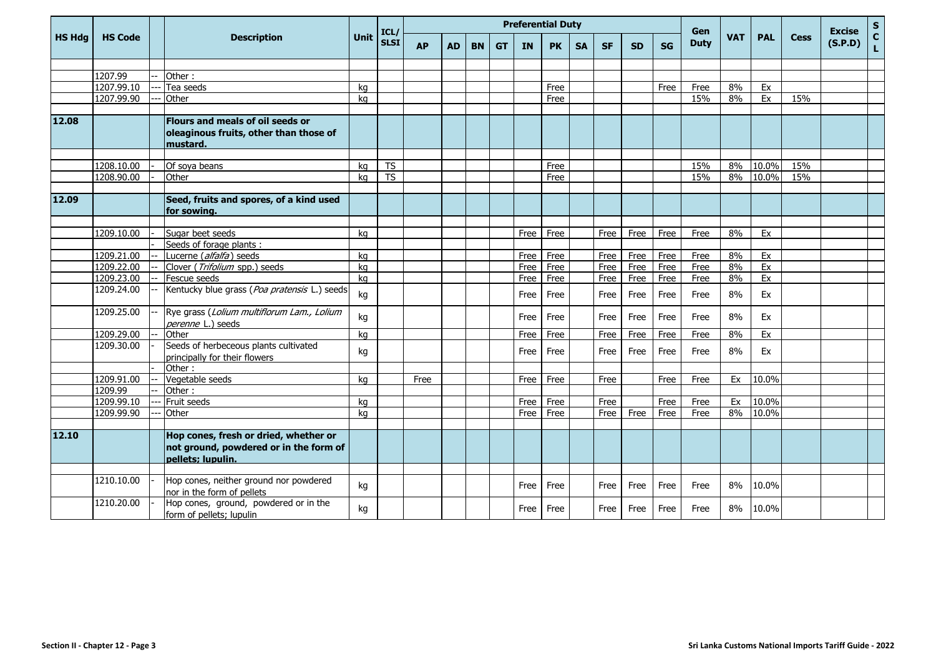|               |                |                                                                                                      |             | ICL/                   | <b>Preferential Duty</b> |           |           |           |           |           |           |              |              |           |                    |            |            |             | <b>Excise</b> | $\mathsf{s}$       |
|---------------|----------------|------------------------------------------------------------------------------------------------------|-------------|------------------------|--------------------------|-----------|-----------|-----------|-----------|-----------|-----------|--------------|--------------|-----------|--------------------|------------|------------|-------------|---------------|--------------------|
| <b>HS Hdg</b> | <b>HS Code</b> | <b>Description</b>                                                                                   | <b>Unit</b> | <b>SLSI</b>            | <b>AP</b>                | <b>AD</b> | <b>BN</b> | <b>GT</b> | <b>IN</b> | <b>PK</b> | <b>SA</b> | <b>SF</b>    | <b>SD</b>    | <b>SG</b> | Gen<br><b>Duty</b> | <b>VAT</b> | <b>PAL</b> | <b>Cess</b> | (S.P.D)       | $\mathbf{C}$<br>Ĺ. |
|               |                |                                                                                                      |             |                        |                          |           |           |           |           |           |           |              |              |           |                    |            |            |             |               |                    |
|               | 1207.99        | Other:                                                                                               |             |                        |                          |           |           |           |           |           |           |              |              |           |                    |            |            |             |               |                    |
|               | 1207.99.10     | Tea seeds                                                                                            | kg          |                        |                          |           |           |           |           | Free      |           |              |              | Free      | Free               | 8%         | Ex         |             |               |                    |
|               | 1207.99.90     | Other                                                                                                | kg          |                        |                          |           |           |           |           | Free      |           |              |              |           | 15%                | 8%         | Ex         | 15%         |               |                    |
|               |                |                                                                                                      |             |                        |                          |           |           |           |           |           |           |              |              |           |                    |            |            |             |               |                    |
| 12.08         |                | Flours and meals of oil seeds or<br>oleaginous fruits, other than those of<br>mustard.               |             |                        |                          |           |           |           |           |           |           |              |              |           |                    |            |            |             |               |                    |
|               |                |                                                                                                      |             |                        |                          |           |           |           |           |           |           |              |              |           |                    |            |            |             |               |                    |
|               | 1208.10.00     | Of soya beans                                                                                        | kg          | <b>TS</b>              |                          |           |           |           |           | Free      |           |              |              |           | 15%                | 8%         | 10.0%      | 15%         |               |                    |
|               | 1208.90.00     | Other                                                                                                | ka          | $\overline{\text{TS}}$ |                          |           |           |           |           | Free      |           |              |              |           | 15%                | 8%         | 10.0%      | 15%         |               |                    |
| 12.09         |                | Seed, fruits and spores, of a kind used<br>for sowing.                                               |             |                        |                          |           |           |           |           |           |           |              |              |           |                    |            |            |             |               |                    |
|               |                |                                                                                                      |             |                        |                          |           |           |           |           |           |           |              |              |           |                    |            |            |             |               |                    |
|               | 1209.10.00     | Sugar beet seeds                                                                                     | kg          |                        |                          |           |           |           | Free      | Free      |           | Free         | Free         | Free      | Free               | 8%         | Ex         |             |               |                    |
|               | 1209.21.00     | Seeds of forage plants :<br>Lucerne (alfalfa) seeds                                                  |             |                        |                          |           |           |           | Free      | Free      |           |              |              | Free      |                    | 8%         | Ex         |             |               |                    |
|               | 1209.22.00     | Clover (Trifolium spp.) seeds                                                                        | kg<br>kg    |                        |                          |           |           |           | Free      | Free      |           | Free<br>Free | Free<br>Free | Free      | Free<br>Free       | 8%         | Ex         |             |               |                    |
|               | 1209.23.00     | Fescue seeds                                                                                         | kg          |                        |                          |           |           |           | Free      | Free      |           | Free         | Free         | Free      | Free               | 8%         | Ex         |             |               |                    |
|               | 1209.24.00     | Kentucky blue grass (Poa pratensis L.) seeds                                                         | kg          |                        |                          |           |           |           | Free      | Free      |           | Free         | Free         | Free      | Free               | 8%         | Ex         |             |               |                    |
|               | 1209.25.00     | Rye grass (Lolium multiflorum Lam., Lolium<br>perenne L.) seeds                                      | kg          |                        |                          |           |           |           | Free      | Free      |           | Free         | Free         | Free      | Free               | 8%         | Ex         |             |               |                    |
|               | 1209.29.00     | Other                                                                                                | kg          |                        |                          |           |           |           | Free      | Free      |           | Free         | Free         | Free      | Free               | 8%         | Ex         |             |               |                    |
|               | 1209.30.00     | Seeds of herbeceous plants cultivated<br>principally for their flowers                               | kg          |                        |                          |           |           |           | Free      | Free      |           | Free         | Free         | Free      | Free               | 8%         | Ex         |             |               |                    |
|               |                | Other:                                                                                               |             |                        |                          |           |           |           |           |           |           |              |              |           |                    |            |            |             |               |                    |
|               | 1209.91.00     | Vegetable seeds                                                                                      | ka          |                        | Free                     |           |           |           | Free      | Free      |           | Free         |              | Free      | Free               | Ex         | 10.0%      |             |               |                    |
|               | 1209.99        | Other:                                                                                               |             |                        |                          |           |           |           |           |           |           |              |              |           |                    |            |            |             |               |                    |
|               | 1209.99.10     | Fruit seeds                                                                                          | kg          |                        |                          |           |           |           | Free      | Free      |           | Free         |              | Free      | Free               | Ex         | 10.0%      |             |               |                    |
|               | 1209.99.90     | Other                                                                                                | kg          |                        |                          |           |           |           | Free      | Free      |           | Free         | Free         | Free      | Free               | 8%         | 10.0%      |             |               |                    |
|               |                |                                                                                                      |             |                        |                          |           |           |           |           |           |           |              |              |           |                    |            |            |             |               |                    |
| 12.10         |                | Hop cones, fresh or dried, whether or<br>not ground, powdered or in the form of<br>pellets; lupulin. |             |                        |                          |           |           |           |           |           |           |              |              |           |                    |            |            |             |               |                    |
|               | 1210.10.00     | Hop cones, neither ground nor powdered<br>nor in the form of pellets                                 | kg          |                        |                          |           |           |           | Free      | Free      |           | Free         | Free         | Free      | Free               | 8%         | 10.0%      |             |               |                    |
|               | 1210.20.00     | Hop cones, ground, powdered or in the<br>form of pellets; lupulin                                    | kg          |                        |                          |           |           |           | Free      | Free      |           | Free         | Free         | Free      | Free               | 8%         | 10.0%      |             |               |                    |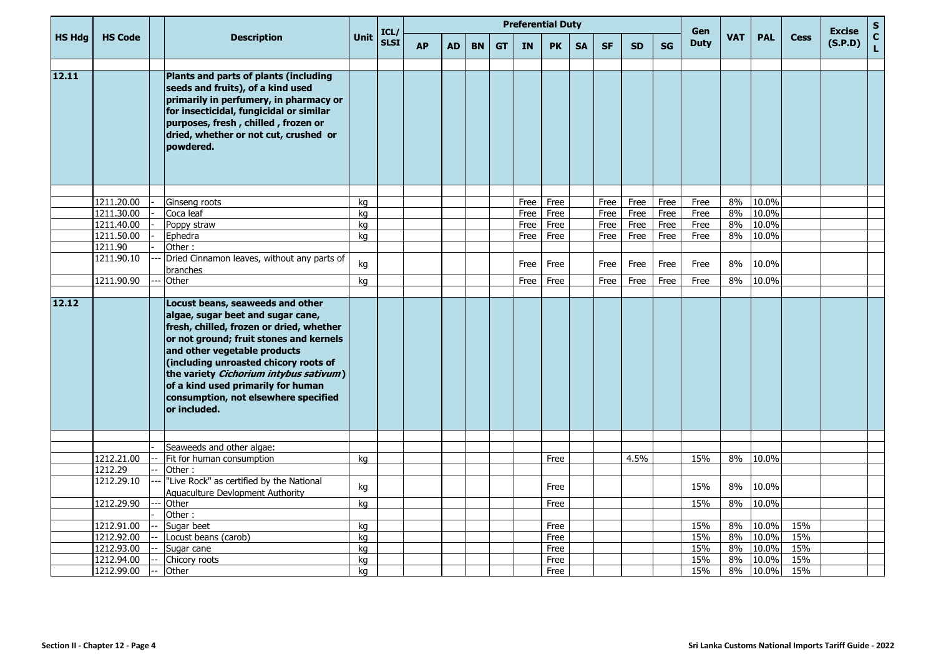|               |                          |                                                                                                                                                                                                                                                                                                                                                                               | <b>Unit</b> | ICL/        | <b>Preferential Duty</b> |           |           |           |              |              |           |              |              |              | Gen          |            |            |             | <b>Excise</b> | ${\sf s}$                    |
|---------------|--------------------------|-------------------------------------------------------------------------------------------------------------------------------------------------------------------------------------------------------------------------------------------------------------------------------------------------------------------------------------------------------------------------------|-------------|-------------|--------------------------|-----------|-----------|-----------|--------------|--------------|-----------|--------------|--------------|--------------|--------------|------------|------------|-------------|---------------|------------------------------|
| <b>HS Hdg</b> | <b>HS Code</b>           | <b>Description</b>                                                                                                                                                                                                                                                                                                                                                            |             | <b>SLSI</b> | <b>AP</b>                | <b>AD</b> | <b>BN</b> | <b>GT</b> | <b>IN</b>    | <b>PK</b>    | <b>SA</b> | <b>SF</b>    | <b>SD</b>    | <b>SG</b>    | <b>Duty</b>  | <b>VAT</b> | <b>PAL</b> | <b>Cess</b> | (S.P.D)       | $\mathbf{C}$<br>$\mathbf{L}$ |
|               |                          |                                                                                                                                                                                                                                                                                                                                                                               |             |             |                          |           |           |           |              |              |           |              |              |              |              |            |            |             |               |                              |
| 12.11         |                          | Plants and parts of plants (including<br>seeds and fruits), of a kind used<br>primarily in perfumery, in pharmacy or<br>for insecticidal, fungicidal or similar<br>purposes, fresh, chilled, frozen or<br>dried, whether or not cut, crushed or<br>powdered.                                                                                                                  |             |             |                          |           |           |           |              |              |           |              |              |              |              |            |            |             |               |                              |
|               |                          |                                                                                                                                                                                                                                                                                                                                                                               |             |             |                          |           |           |           |              |              |           |              |              |              |              |            | 10.0%      |             |               |                              |
|               | 1211.20.00<br>1211.30.00 | Ginseng roots<br>Coca leaf                                                                                                                                                                                                                                                                                                                                                    | kg<br>kg    |             |                          |           |           |           | Free<br>Free | Free<br>Free |           | Free<br>Free | Free<br>Free | Free<br>Free | Free<br>Free | 8%<br>8%   | 10.0%      |             |               |                              |
|               | 1211.40.00               | Poppy straw                                                                                                                                                                                                                                                                                                                                                                   | kg          |             |                          |           |           |           | Free         | Free         |           | Free         | Free         | Free         | Free         | 8%         | 10.0%      |             |               |                              |
|               | 1211.50.00               | Ephedra                                                                                                                                                                                                                                                                                                                                                                       | kg          |             |                          |           |           |           | Free         | Free         |           | Free         | Free         | Free         | Free         | 8%         | 10.0%      |             |               |                              |
|               | 1211.90                  | Other:                                                                                                                                                                                                                                                                                                                                                                        |             |             |                          |           |           |           |              |              |           |              |              |              |              |            |            |             |               |                              |
|               | 1211.90.10               | Dried Cinnamon leaves, without any parts of<br>branches                                                                                                                                                                                                                                                                                                                       | kg          |             |                          |           |           |           | Free         | Free         |           | Free         | Free         | Free         | Free         | 8%         | 10.0%      |             |               |                              |
|               | 1211.90.90               | Other                                                                                                                                                                                                                                                                                                                                                                         | kg          |             |                          |           |           |           | Free         | Free         |           | Free         | Free         | Free         | Free         | 8%         | 10.0%      |             |               |                              |
| 12.12         |                          | Locust beans, seaweeds and other<br>algae, sugar beet and sugar cane,<br>fresh, chilled, frozen or dried, whether<br>or not ground; fruit stones and kernels<br>and other vegetable products<br>(including unroasted chicory roots of<br>the variety Cichorium intybus sativum)<br>of a kind used primarily for human<br>consumption, not elsewhere specified<br>or included. |             |             |                          |           |           |           |              |              |           |              |              |              |              |            |            |             |               |                              |
|               |                          |                                                                                                                                                                                                                                                                                                                                                                               |             |             |                          |           |           |           |              |              |           |              |              |              |              |            |            |             |               |                              |
|               | 1212.21.00               | Seaweeds and other algae:<br>Fit for human consumption                                                                                                                                                                                                                                                                                                                        | kg          |             |                          |           |           |           |              | Free         |           |              | 4.5%         |              | 15%          | 8%         | 10.0%      |             |               |                              |
|               | 1212.29                  | Other:                                                                                                                                                                                                                                                                                                                                                                        |             |             |                          |           |           |           |              |              |           |              |              |              |              |            |            |             |               |                              |
|               | 1212.29.10               | "Live Rock" as certified by the National<br>Aquaculture Devlopment Authority                                                                                                                                                                                                                                                                                                  | kg          |             |                          |           |           |           |              | Free         |           |              |              |              | 15%          | 8%         | 10.0%      |             |               |                              |
|               | 1212.29.90               | Other                                                                                                                                                                                                                                                                                                                                                                         | kg          |             |                          |           |           |           |              | Free         |           |              |              |              | 15%          | 8%         | 10.0%      |             |               |                              |
|               |                          | Other:                                                                                                                                                                                                                                                                                                                                                                        |             |             |                          |           |           |           |              |              |           |              |              |              |              |            |            |             |               |                              |
|               | 1212.91.00               | Sugar beet                                                                                                                                                                                                                                                                                                                                                                    | kg          |             |                          |           |           |           |              | Free         |           |              |              |              | 15%          | 8%         | 10.0%      | 15%         |               |                              |
|               | 1212.92.00               | Locust beans (carob)                                                                                                                                                                                                                                                                                                                                                          | kg          |             |                          |           |           |           |              | Free         |           |              |              |              | 15%          | 8%         | 10.0%      | 15%         |               |                              |
|               | 1212.93.00               | Sugar cane                                                                                                                                                                                                                                                                                                                                                                    | kg          |             |                          |           |           |           |              | Free         |           |              |              |              | 15%          | 8%         | 10.0%      | 15%         |               |                              |
|               | 1212.94.00               | Chicory roots                                                                                                                                                                                                                                                                                                                                                                 | kg          |             |                          |           |           |           |              | Free         |           |              |              |              | 15%          | 8%         | 10.0%      | 15%         |               |                              |
|               | 1212.99.00               | Other                                                                                                                                                                                                                                                                                                                                                                         | kg          |             |                          |           |           |           |              | Free         |           |              |              |              | 15%          | 8%         | 10.0%      | 15%         |               |                              |